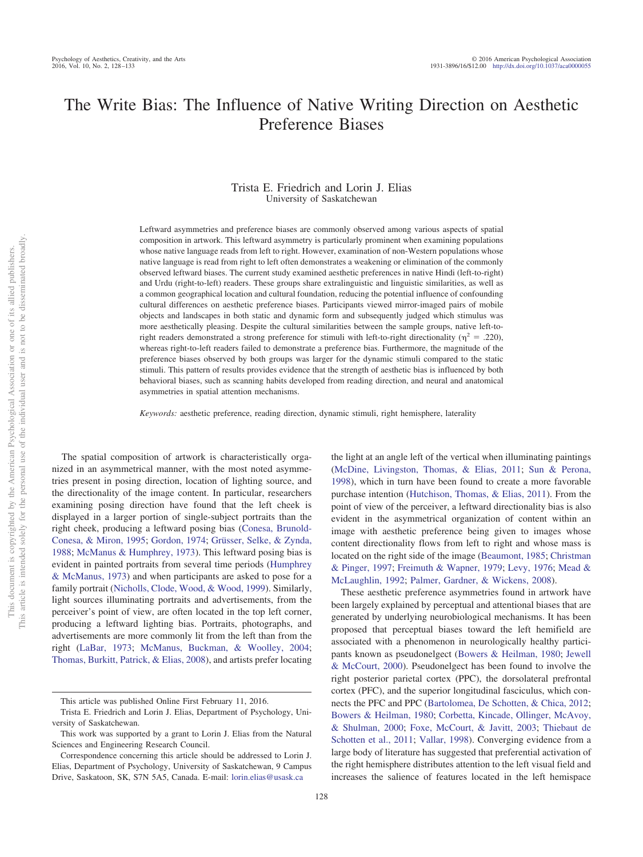# The Write Bias: The Influence of Native Writing Direction on Aesthetic Preference Biases

# Trista E. Friedrich and Lorin J. Elias University of Saskatchewan

Leftward asymmetries and preference biases are commonly observed among various aspects of spatial composition in artwork. This leftward asymmetry is particularly prominent when examining populations whose native language reads from left to right. However, examination of non-Western populations whose native language is read from right to left often demonstrates a weakening or elimination of the commonly observed leftward biases. The current study examined aesthetic preferences in native Hindi (left-to-right) and Urdu (right-to-left) readers. These groups share extralinguistic and linguistic similarities, as well as a common geographical location and cultural foundation, reducing the potential influence of confounding cultural differences on aesthetic preference biases. Participants viewed mirror-imaged pairs of mobile objects and landscapes in both static and dynamic form and subsequently judged which stimulus was more aesthetically pleasing. Despite the cultural similarities between the sample groups, native left-toright readers demonstrated a strong preference for stimuli with left-to-right directionality ( $\eta^2$  = .220), whereas right-to-left readers failed to demonstrate a preference bias. Furthermore, the magnitude of the preference biases observed by both groups was larger for the dynamic stimuli compared to the static stimuli. This pattern of results provides evidence that the strength of aesthetic bias is influenced by both behavioral biases, such as scanning habits developed from reading direction, and neural and anatomical asymmetries in spatial attention mechanisms.

*Keywords:* aesthetic preference, reading direction, dynamic stimuli, right hemisphere, laterality

The spatial composition of artwork is characteristically organized in an asymmetrical manner, with the most noted asymmetries present in posing direction, location of lighting source, and the directionality of the image content. In particular, researchers examining posing direction have found that the left cheek is displayed in a larger portion of single-subject portraits than the right cheek, producing a leftward posing bias [\(Conesa, Brunold-](#page-4-0)[Conesa, & Miron, 1995;](#page-4-0) [Gordon, 1974;](#page-4-1) [Grüsser, Selke, & Zynda,](#page-4-2) [1988;](#page-4-2) [McManus & Humphrey, 1973\)](#page-5-0). This leftward posing bias is evident in painted portraits from several time periods [\(Humphrey](#page-4-3) [& McManus, 1973\)](#page-4-3) and when participants are asked to pose for a family portrait [\(Nicholls, Clode, Wood, & Wood, 1999\)](#page-5-1). Similarly, light sources illuminating portraits and advertisements, from the perceiver's point of view, are often located in the top left corner, producing a leftward lighting bias. Portraits, photographs, and advertisements are more commonly lit from the left than from the right [\(LaBar, 1973;](#page-4-4) [McManus, Buckman, & Woolley, 2004;](#page-5-2) [Thomas, Burkitt, Patrick, & Elias, 2008\)](#page-5-3), and artists prefer locating

the light at an angle left of the vertical when illuminating paintings [\(McDine, Livingston, Thomas, & Elias, 2011;](#page-5-4) [Sun & Perona,](#page-5-5) [1998\)](#page-5-5), which in turn have been found to create a more favorable purchase intention [\(Hutchison, Thomas, & Elias, 2011\)](#page-4-5). From the point of view of the perceiver, a leftward directionality bias is also evident in the asymmetrical organization of content within an image with aesthetic preference being given to images whose content directionality flows from left to right and whose mass is located on the right side of the image [\(Beaumont, 1985;](#page-4-6) [Christman](#page-4-7) [& Pinger, 1997;](#page-4-7) [Freimuth & Wapner, 1979;](#page-4-8) [Levy, 1976;](#page-4-9) [Mead &](#page-5-6) [McLaughlin, 1992;](#page-5-6) [Palmer, Gardner, & Wickens, 2008\)](#page-5-7).

These aesthetic preference asymmetries found in artwork have been largely explained by perceptual and attentional biases that are generated by underlying neurobiological mechanisms. It has been proposed that perceptual biases toward the left hemifield are associated with a phenomenon in neurologically healthy participants known as pseudonelgect [\(Bowers & Heilman, 1980;](#page-4-10) [Jewell](#page-4-11) [& McCourt, 2000\)](#page-4-11). Pseudonelgect has been found to involve the right posterior parietal cortex (PPC), the dorsolateral prefrontal cortex (PFC), and the superior longitudinal fasciculus, which connects the PFC and PPC [\(Bartolomea, De Schotten, & Chica, 2012;](#page-4-12) [Bowers & Heilman, 1980;](#page-4-10) [Corbetta, Kincade, Ollinger, McAvoy,](#page-4-13) [& Shulman, 2000;](#page-4-13) [Foxe, McCourt, & Javitt, 2003;](#page-4-14) [Thiebaut de](#page-5-8) [Schotten et al., 2011;](#page-5-8) [Vallar, 1998\)](#page-5-9). Converging evidence from a large body of literature has suggested that preferential activation of the right hemisphere distributes attention to the left visual field and increases the salience of features located in the left hemispace

This article was published Online First February 11, 2016.

Trista E. Friedrich and Lorin J. Elias, Department of Psychology, University of Saskatchewan.

This work was supported by a grant to Lorin J. Elias from the Natural Sciences and Engineering Research Council.

Correspondence concerning this article should be addressed to Lorin J. Elias, Department of Psychology, University of Saskatchewan, 9 Campus Drive, Saskatoon, SK, S7N 5A5, Canada. E-mail: [lorin.elias@usask.ca](mailto:lorin.elias@usask.ca)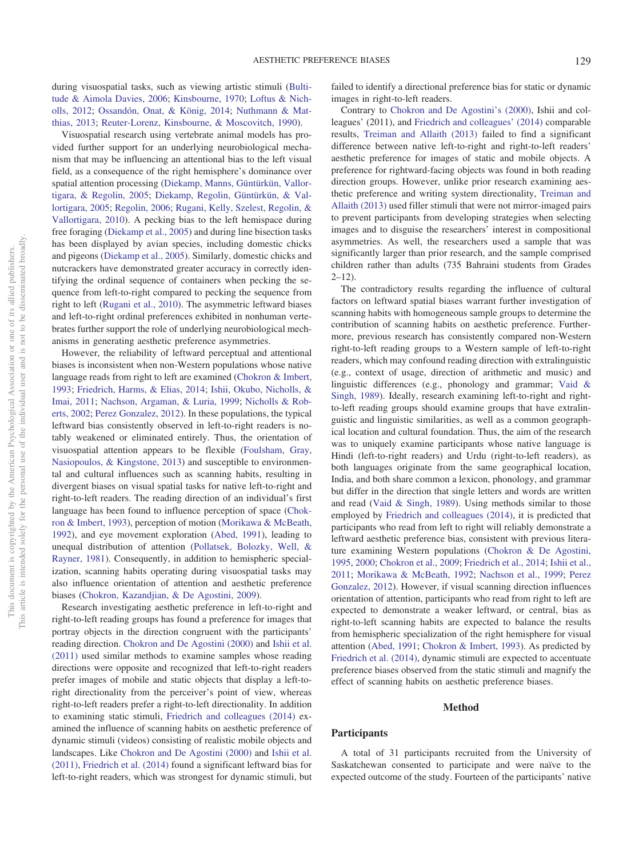during visuospatial tasks, such as viewing artistic stimuli [\(Bulti](#page-4-15)[tude & Aimola Davies, 2006;](#page-4-15) [Kinsbourne, 1970;](#page-4-12) [Loftus & Nich](#page-4-16)[olls, 2012;](#page-4-16) [Ossandón, Onat, & König, 2014;](#page-5-10) [Nuthmann & Mat](#page-5-11)[thias, 2013;](#page-5-11) [Reuter-Lorenz, Kinsbourne, & Moscovitch, 1990\)](#page-5-12).

Visuospatial research using vertebrate animal models has provided further support for an underlying neurobiological mechanism that may be influencing an attentional bias to the left visual field, as a consequence of the right hemisphere's dominance over spatial attention processing [\(Diekamp, Manns, Güntürkün, Vallor](#page-4-17)[tigara, & Regolin, 2005;](#page-4-17) [Diekamp, Regolin, Güntürkün, & Val](#page-4-18)[lortigara, 2005;](#page-4-18) [Regolin, 2006;](#page-5-13) [Rugani, Kelly, Szelest, Regolin, &](#page-5-14) [Vallortigara, 2010\)](#page-5-14). A pecking bias to the left hemispace during free foraging [\(Diekamp et al., 2005\)](#page-4-17) and during line bisection tasks has been displayed by avian species, including domestic chicks and pigeons [\(Diekamp et al., 2005\)](#page-4-17). Similarly, domestic chicks and nutcrackers have demonstrated greater accuracy in correctly identifying the ordinal sequence of containers when pecking the sequence from left-to-right compared to pecking the sequence from right to left [\(Rugani et al., 2010\)](#page-5-14). The asymmetric leftward biases and left-to-right ordinal preferences exhibited in nonhuman vertebrates further support the role of underlying neurobiological mechanisms in generating aesthetic preference asymmetries.

However, the reliability of leftward perceptual and attentional biases is inconsistent when non-Western populations whose native language reads from right to left are examined [\(Chokron & Imbert,](#page-4-19) [1993;](#page-4-19) [Friedrich, Harms, & Elias, 2014;](#page-4-20) [Ishii, Okubo, Nicholls, &](#page-4-21) [Imai, 2011;](#page-4-21) [Nachson, Argaman, & Luria, 1999;](#page-5-15) [Nicholls & Rob](#page-5-16)[erts, 2002;](#page-5-16) [Perez Gonzalez, 2012\)](#page-5-17). In these populations, the typical leftward bias consistently observed in left-to-right readers is notably weakened or eliminated entirely. Thus, the orientation of visuospatial attention appears to be flexible [\(Foulsham, Gray,](#page-4-22) [Nasiopoulos, & Kingstone, 2013\)](#page-4-22) and susceptible to environmental and cultural influences such as scanning habits, resulting in divergent biases on visual spatial tasks for native left-to-right and right-to-left readers. The reading direction of an individual's first language has been found to influence perception of space [\(Chok](#page-4-19)[ron & Imbert, 1993\)](#page-4-19), perception of motion [\(Morikawa & McBeath,](#page-5-18) [1992\)](#page-5-18), and eye movement exploration [\(Abed, 1991\)](#page-4-23), leading to unequal distribution of attention [\(Pollatsek, Bolozky, Well, &](#page-5-19) [Rayner, 1981\)](#page-5-19). Consequently, in addition to hemispheric specialization, scanning habits operating during visuospatial tasks may also influence orientation of attention and aesthetic preference biases [\(Chokron, Kazandjian, & De Agostini, 2009\)](#page-4-24).

Research investigating aesthetic preference in left-to-right and right-to-left reading groups has found a preference for images that portray objects in the direction congruent with the participants' reading direction. [Chokron and De Agostini \(2000\)](#page-4-25) and [Ishii et al.](#page-4-21) [\(2011\)](#page-4-21) used similar methods to examine samples whose reading directions were opposite and recognized that left-to-right readers prefer images of mobile and static objects that display a left-toright directionality from the perceiver's point of view, whereas right-to-left readers prefer a right-to-left directionality. In addition to examining static stimuli, [Friedrich and colleagues \(2014\)](#page-4-20) examined the influence of scanning habits on aesthetic preference of dynamic stimuli (videos) consisting of realistic mobile objects and landscapes. Like [Chokron and De Agostini \(2000\)](#page-4-25) and [Ishii et al.](#page-4-21) [\(2011\),](#page-4-21) [Friedrich et al. \(2014\)](#page-4-20) found a significant leftward bias for left-to-right readers, which was strongest for dynamic stimuli, but

failed to identify a directional preference bias for static or dynamic images in right-to-left readers.

Contrary to [Chokron and De Agostini's \(2000\),](#page-4-25) Ishii and colleagues' (2011), and [Friedrich and colleagues' \(2014\)](#page-4-20) comparable results, [Treiman and Allaith \(2013\)](#page-5-20) failed to find a significant difference between native left-to-right and right-to-left readers' aesthetic preference for images of static and mobile objects. A preference for rightward-facing objects was found in both reading direction groups. However, unlike prior research examining aesthetic preference and writing system directionality, [Treiman and](#page-5-20) [Allaith \(2013\)](#page-5-20) used filler stimuli that were not mirror-imaged pairs to prevent participants from developing strategies when selecting images and to disguise the researchers' interest in compositional asymmetries. As well, the researchers used a sample that was significantly larger than prior research, and the sample comprised children rather than adults (735 Bahraini students from Grades  $2 - 12$ 

The contradictory results regarding the influence of cultural factors on leftward spatial biases warrant further investigation of scanning habits with homogeneous sample groups to determine the contribution of scanning habits on aesthetic preference. Furthermore, previous research has consistently compared non-Western right-to-left reading groups to a Western sample of left-to-right readers, which may confound reading direction with extralinguistic (e.g., context of usage, direction of arithmetic and music) and linguistic differences (e.g., phonology and grammar; [Vaid &](#page-5-21) [Singh, 1989\)](#page-5-21). Ideally, research examining left-to-right and rightto-left reading groups should examine groups that have extralinguistic and linguistic similarities, as well as a common geographical location and cultural foundation. Thus, the aim of the research was to uniquely examine participants whose native language is Hindi (left-to-right readers) and Urdu (right-to-left readers), as both languages originate from the same geographical location, India, and both share common a lexicon, phonology, and grammar but differ in the direction that single letters and words are written and read [\(Vaid & Singh, 1989\)](#page-5-21). Using methods similar to those employed by [Friedrich and colleagues \(2014\),](#page-4-20) it is predicted that participants who read from left to right will reliably demonstrate a leftward aesthetic preference bias, consistent with previous literature examining Western populations [\(Chokron & De Agostini,](#page-4-26) [1995,](#page-4-26) [2000;](#page-4-25) [Chokron et al., 2009;](#page-4-24) [Friedrich et al., 2014;](#page-4-20) [Ishii et al.,](#page-4-21) [2011;](#page-4-21) [Morikawa & McBeath, 1992;](#page-5-18) [Nachson et al., 1999;](#page-5-15) [Perez](#page-5-17) [Gonzalez, 2012\)](#page-5-17). However, if visual scanning direction influences orientation of attention, participants who read from right to left are expected to demonstrate a weaker leftward, or central, bias as right-to-left scanning habits are expected to balance the results from hemispheric specialization of the right hemisphere for visual attention [\(Abed, 1991;](#page-4-23) [Chokron & Imbert, 1993\)](#page-4-19). As predicted by [Friedrich et al. \(2014\),](#page-4-20) dynamic stimuli are expected to accentuate preference biases observed from the static stimuli and magnify the effect of scanning habits on aesthetic preference biases.

#### **Method**

#### **Participants**

A total of 31 participants recruited from the University of Saskatchewan consented to participate and were naïve to the expected outcome of the study. Fourteen of the participants' native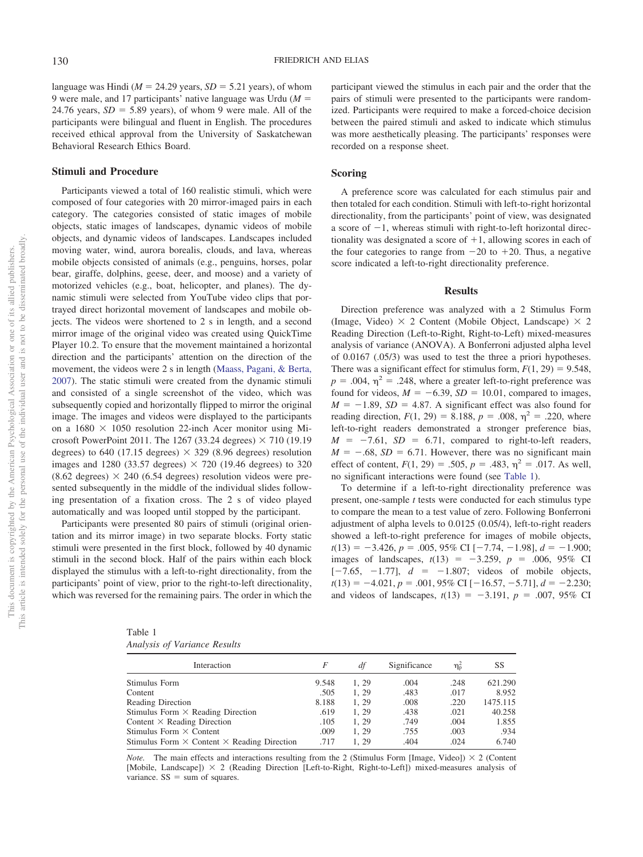language was Hindi ( $M = 24.29$  years,  $SD = 5.21$  years), of whom 9 were male, and 17 participants' native language was Urdu (*M* 24.76 years,  $SD = 5.89$  years), of whom 9 were male. All of the participants were bilingual and fluent in English. The procedures received ethical approval from the University of Saskatchewan Behavioral Research Ethics Board.

# **Stimuli and Procedure**

Participants viewed a total of 160 realistic stimuli, which were composed of four categories with 20 mirror-imaged pairs in each category. The categories consisted of static images of mobile objects, static images of landscapes, dynamic videos of mobile objects, and dynamic videos of landscapes. Landscapes included moving water, wind, aurora borealis, clouds, and lava, whereas mobile objects consisted of animals (e.g., penguins, horses, polar bear, giraffe, dolphins, geese, deer, and moose) and a variety of motorized vehicles (e.g., boat, helicopter, and planes). The dynamic stimuli were selected from YouTube video clips that portrayed direct horizontal movement of landscapes and mobile objects. The videos were shortened to 2 s in length, and a second mirror image of the original video was created using QuickTime Player 10.2. To ensure that the movement maintained a horizontal direction and the participants' attention on the direction of the movement, the videos were 2 s in length [\(Maass, Pagani, & Berta,](#page-4-27) [2007\)](#page-4-27). The static stimuli were created from the dynamic stimuli and consisted of a single screenshot of the video, which was subsequently copied and horizontally flipped to mirror the original image. The images and videos were displayed to the participants on a  $1680 \times 1050$  resolution 22-inch Acer monitor using Microsoft PowerPoint 2011. The 1267 (33.24 degrees)  $\times$  710 (19.19 degrees) to 640 (17.15 degrees)  $\times$  329 (8.96 degrees) resolution images and 1280 (33.57 degrees)  $\times$  720 (19.46 degrees) to 320  $(8.62$  degrees)  $\times$  240 (6.54 degrees) resolution videos were presented subsequently in the middle of the individual slides following presentation of a fixation cross. The 2 s of video played automatically and was looped until stopped by the participant.

Participants were presented 80 pairs of stimuli (original orientation and its mirror image) in two separate blocks. Forty static stimuli were presented in the first block, followed by 40 dynamic stimuli in the second block. Half of the pairs within each block displayed the stimulus with a left-to-right directionality, from the participants' point of view, prior to the right-to-left directionality, which was reversed for the remaining pairs. The order in which the

| тарје т |                              |  |
|---------|------------------------------|--|
|         | Analysis of Variance Results |  |

<span id="page-2-0"></span>Table 1

participant viewed the stimulus in each pair and the order that the pairs of stimuli were presented to the participants were randomized. Participants were required to make a forced-choice decision between the paired stimuli and asked to indicate which stimulus was more aesthetically pleasing. The participants' responses were recorded on a response sheet.

## **Scoring**

A preference score was calculated for each stimulus pair and then totaled for each condition. Stimuli with left-to-right horizontal directionality, from the participants' point of view, was designated a score of  $-1$ , whereas stimuli with right-to-left horizontal directionality was designated a score of  $+1$ , allowing scores in each of the four categories to range from  $-20$  to  $+20$ . Thus, a negative score indicated a left-to-right directionality preference.

## **Results**

Direction preference was analyzed with a 2 Stimulus Form (Image, Video)  $\times$  2 Content (Mobile Object, Landscape)  $\times$  2 Reading Direction (Left-to-Right, Right-to-Left) mixed-measures analysis of variance (ANOVA). A Bonferroni adjusted alpha level of 0.0167 (.05/3) was used to test the three a priori hypotheses. There was a significant effect for stimulus form,  $F(1, 29) = 9.548$ ,  $p = .004$ ,  $\eta^2 = .248$ , where a greater left-to-right preference was found for videos,  $M = -6.39$ ,  $SD = 10.01$ , compared to images,  $M = -1.89$ ,  $SD = 4.87$ . A significant effect was also found for reading direction,  $F(1, 29) = 8.188$ ,  $p = .008$ ,  $\eta^2 = .220$ , where left-to-right readers demonstrated a stronger preference bias,  $M = -7.61$ ,  $SD = 6.71$ , compared to right-to-left readers,  $M = -.68$ ,  $SD = 6.71$ . However, there was no significant main effect of content,  $F(1, 29) = .505$ ,  $p = .483$ ,  $\eta^2 = .017$ . As well, no significant interactions were found (see [Table 1\)](#page-2-0).

To determine if a left-to-right directionality preference was present, one-sample *t* tests were conducted for each stimulus type to compare the mean to a test value of zero. Following Bonferroni adjustment of alpha levels to 0.0125 (0.05/4), left-to-right readers showed a left-to-right preference for images of mobile objects,  $t(13) = -3.426$ ,  $p = .005$ , 95% CI [-7.74, -1.98],  $d = -1.900$ ; images of landscapes,  $t(13) = -3.259$ ,  $p = .006$ , 95% CI  $[-7.65, -1.77], d = -1.807$ ; videos of mobile objects,  $t(13) = -4.021, p = .001, 95\% \text{ CI} [-16.57, -5.71], d = -2.230;$ and videos of landscapes,  $t(13) = -3.191$ ,  $p = .007, 95\%$  CI

| Interaction                                               | F     | df   | Significance | $\eta_{\rm p}^2$ | SS       |
|-----------------------------------------------------------|-------|------|--------------|------------------|----------|
| Stimulus Form                                             | 9.548 | 1.29 | .004         | .248             | 621.290  |
| Content                                                   | .505  | 1.29 | .483         | .017             | 8.952    |
| Reading Direction                                         | 8.188 | 1.29 | .008         | .220             | 1475.115 |
| Stimulus Form $\times$ Reading Direction                  | .619  | 1.29 | .438         | .021             | 40.258   |
| Content $\times$ Reading Direction                        | .105  | 1.29 | .749         | .004             | 1.855    |
| Stimulus Form $\times$ Content                            | .009  | 1.29 | .755         | .003             | .934     |
| Stimulus Form $\times$ Content $\times$ Reading Direction | .717  | 1.29 | .404         | .024             | 6.740    |

*Note.* The main effects and interactions resulting from the 2 (Stimulus Form [Image, Video])  $\times$  2 (Content [Mobile, Landscape]) 2 (Reading Direction [Left-to-Right, Right-to-Left]) mixed-measures analysis of variance.  $SS = sum of squares$ .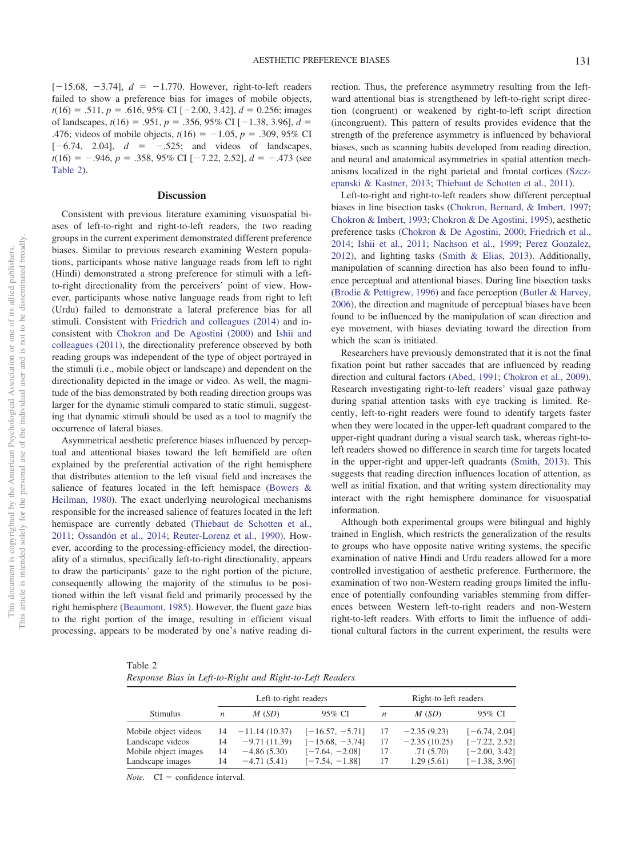$[-15.68, -3.74]$ ,  $d = -1.770$ . However, right-to-left readers failed to show a preference bias for images of mobile objects,  $t(16) = .511, p = .616, 95\% \text{ CI } [-2.00, 3.42], d = 0.256; \text{images}$ of landscapes,  $t(16) = .951$ ,  $p = .356$ ,  $95\%$  CI [-1.38, 3.96],  $d =$ .476; videos of mobile objects,  $t(16) = -1.05$ ,  $p = .309$ , 95% CI  $[-6.74, 2.04], d = -0.525;$  and videos of landscapes,  $t(16) = -.946$ ,  $p = .358$ , 95% CI [-7.22, 2.52],  $d = -.473$  (see [Table 2\)](#page-3-0).

## **Discussion**

Consistent with previous literature examining visuospatial biases of left-to-right and right-to-left readers, the two reading groups in the current experiment demonstrated different preference biases. Similar to previous research examining Western populations, participants whose native language reads from left to right (Hindi) demonstrated a strong preference for stimuli with a leftto-right directionality from the perceivers' point of view. However, participants whose native language reads from right to left (Urdu) failed to demonstrate a lateral preference bias for all stimuli. Consistent with [Friedrich and colleagues \(2014\)](#page-4-20) and inconsistent with [Chokron and De Agostini \(2000\)](#page-4-25) and [Ishii and](#page-4-21) [colleagues \(2011\),](#page-4-21) the directionality preference observed by both reading groups was independent of the type of object portrayed in the stimuli (i.e., mobile object or landscape) and dependent on the directionality depicted in the image or video. As well, the magnitude of the bias demonstrated by both reading direction groups was larger for the dynamic stimuli compared to static stimuli, suggesting that dynamic stimuli should be used as a tool to magnify the occurrence of lateral biases.

Asymmetrical aesthetic preference biases influenced by perceptual and attentional biases toward the left hemifield are often explained by the preferential activation of the right hemisphere that distributes attention to the left visual field and increases the salience of features located in the left hemispace [\(Bowers &](#page-4-10) [Heilman, 1980\)](#page-4-10). The exact underlying neurological mechanisms responsible for the increased salience of features located in the left hemispace are currently debated [\(Thiebaut de Schotten et al.,](#page-5-8) [2011;](#page-5-8) [Ossandón et al., 2014;](#page-5-10) [Reuter-Lorenz et al., 1990\)](#page-5-12). However, according to the processing-efficiency model, the directionality of a stimulus, specifically left-to-right directionality, appears to draw the participants' gaze to the right portion of the picture, consequently allowing the majority of the stimulus to be positioned within the left visual field and primarily processed by the right hemisphere [\(Beaumont, 1985\)](#page-4-6). However, the fluent gaze bias to the right portion of the image, resulting in efficient visual processing, appears to be moderated by one's native reading direction. Thus, the preference asymmetry resulting from the leftward attentional bias is strengthened by left-to-right script direction (congruent) or weakened by right-to-left script direction (incongruent). This pattern of results provides evidence that the strength of the preference asymmetry is influenced by behavioral biases, such as scanning habits developed from reading direction, and neural and anatomical asymmetries in spatial attention mechanisms localized in the right parietal and frontal cortices [\(Szcz](#page-5-22)[epanski & Kastner, 2013;](#page-5-22) [Thiebaut de Schotten et al., 2011\)](#page-5-8).

Left-to-right and right-to-left readers show different perceptual biases in line bisection tasks [\(Chokron, Bernard, & Imbert, 1997;](#page-4-28) [Chokron & Imbert, 1993;](#page-4-19) [Chokron & De Agostini, 1995\)](#page-4-26), aesthetic preference tasks [\(Chokron & De Agostini, 2000;](#page-4-25) [Friedrich et al.,](#page-4-20) [2014;](#page-4-20) [Ishii et al., 2011;](#page-4-21) [Nachson et al., 1999;](#page-5-15) [Perez Gonzalez,](#page-5-17) [2012\)](#page-5-17), and lighting tasks [\(Smith & Elias, 2013\)](#page-5-23). Additionally, manipulation of scanning direction has also been found to influence perceptual and attentional biases. During line bisection tasks [\(Brodie & Pettigrew, 1996\)](#page-4-29) and face perception [\(Butler & Harvey,](#page-4-30) [2006\)](#page-4-30), the direction and magnitude of perceptual biases have been found to be influenced by the manipulation of scan direction and eye movement, with biases deviating toward the direction from which the scan is initiated.

Researchers have previously demonstrated that it is not the final fixation point but rather saccades that are influenced by reading direction and cultural factors [\(Abed, 1991;](#page-4-23) [Chokron et al., 2009\)](#page-4-24). Research investigating right-to-left readers' visual gaze pathway during spatial attention tasks with eye tracking is limited. Recently, left-to-right readers were found to identify targets faster when they were located in the upper-left quadrant compared to the upper-right quadrant during a visual search task, whereas right-toleft readers showed no difference in search time for targets located in the upper-right and upper-left quadrants [\(Smith, 2013\)](#page-5-24). This suggests that reading direction influences location of attention, as well as initial fixation, and that writing system directionality may interact with the right hemisphere dominance for visuospatial information.

Although both experimental groups were bilingual and highly trained in English, which restricts the generalization of the results to groups who have opposite native writing systems, the specific examination of native Hindi and Urdu readers allowed for a more controlled investigation of aesthetic preference. Furthermore, the examination of two non-Western reading groups limited the influence of potentially confounding variables stemming from differences between Western left-to-right readers and non-Western right-to-left readers. With efforts to limit the influence of additional cultural factors in the current experiment, the results were

<span id="page-3-0"></span>Table 2

*Response Bias in Left-to-Right and Right-to-Left Readers*

|                                                                                      | Left-to-right readers |                                                                     |                                                                                | Right-to-left readers |                                                            |                                                                          |
|--------------------------------------------------------------------------------------|-----------------------|---------------------------------------------------------------------|--------------------------------------------------------------------------------|-----------------------|------------------------------------------------------------|--------------------------------------------------------------------------|
| <b>Stimulus</b>                                                                      | n                     | M(SD)                                                               | 95% CI                                                                         | n                     | M(SD)                                                      | 95% CI                                                                   |
| Mobile object videos<br>Landscape videos<br>Mobile object images<br>Landscape images | 14<br>14<br>14<br>14  | $-11.14(10.37)$<br>$-9.71(11.39)$<br>$-4.86(5.30)$<br>$-4.71(5.41)$ | $[-16.57, -5.71]$<br>$[-15.68, -3.74]$<br>$[-7.64, -2.08]$<br>$[-7.54, -1.88]$ | 17<br>17<br>17<br>17  | $-2.35(9.23)$<br>$-2.35(10.25)$<br>.71(5.70)<br>1.29(5.61) | $[-6.74, 2.04]$<br>$[-7.22, 2.52]$<br>$[-2.00, 3.42]$<br>$[-1.38, 3.96]$ |

*Note.*  $CI =$  confidence interval.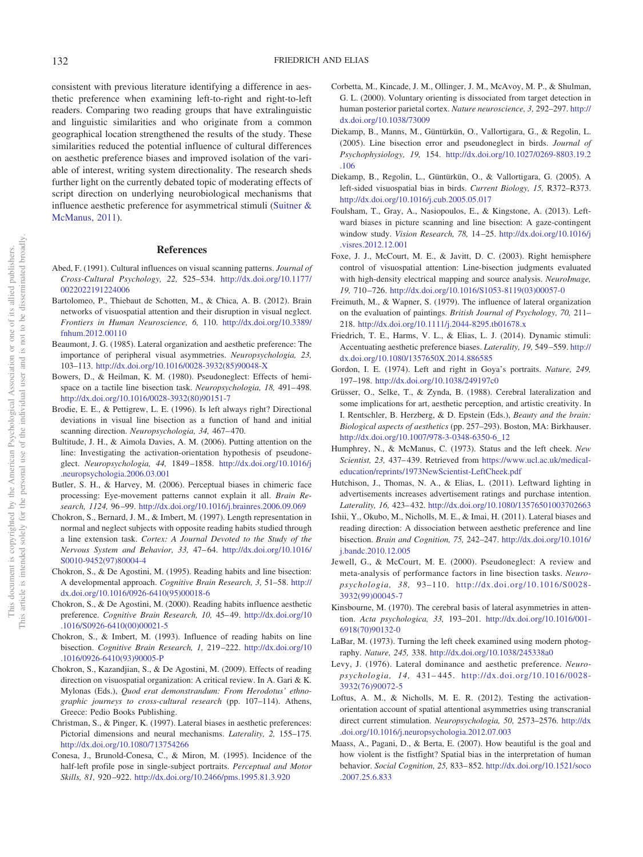consistent with previous literature identifying a difference in aesthetic preference when examining left-to-right and right-to-left readers. Comparing two reading groups that have extralinguistic and linguistic similarities and who originate from a common geographical location strengthened the results of the study. These similarities reduced the potential influence of cultural differences on aesthetic preference biases and improved isolation of the variable of interest, writing system directionality. The research sheds further light on the currently debated topic of moderating effects of script direction on underlying neurobiological mechanisms that influence aesthetic preference for asymmetrical stimuli [\(Suitner &](#page-5-25) [McManus, 2011\)](#page-5-25).

### **References**

- <span id="page-4-23"></span>Abed, F. (1991). Cultural influences on visual scanning patterns. *Journal of Cross-Cultural Psychology, 22,* 525–534. [http://dx.doi.org/10.1177/](http://dx.doi.org/10.1177/0022022191224006) [0022022191224006](http://dx.doi.org/10.1177/0022022191224006)
- Bartolomeo, P., Thiebaut de Schotten, M., & Chica, A. B. (2012). Brain networks of visuospatial attention and their disruption in visual neglect. *Frontiers in Human Neuroscience, 6,* 110. [http://dx.doi.org/10.3389/](http://dx.doi.org/10.3389/fnhum.2012.00110) [fnhum.2012.00110](http://dx.doi.org/10.3389/fnhum.2012.00110)
- <span id="page-4-6"></span>Beaumont, J. G. (1985). Lateral organization and aesthetic preference: The importance of peripheral visual asymmetries. *Neuropsychologia, 23,* 103–113. [http://dx.doi.org/10.1016/0028-3932\(85\)90048-X](http://dx.doi.org/10.1016/0028-3932%2885%2990048-X)
- <span id="page-4-10"></span>Bowers, D., & Heilman, K. M. (1980). Pseudoneglect: Effects of hemispace on a tactile line bisection task. *Neuropsychologia*, 18, 491-498. [http://dx.doi.org/10.1016/0028-3932\(80\)90151-7](http://dx.doi.org/10.1016/0028-3932%2880%2990151-7)
- <span id="page-4-29"></span>Brodie, E. E., & Pettigrew, L. E. (1996). Is left always right? Directional deviations in visual line bisection as a function of hand and initial scanning direction. *Neuropsychologia*, 34, 467-470.
- <span id="page-4-15"></span>Bultitude, J. H., & Aimola Davies, A. M. (2006). Putting attention on the line: Investigating the activation-orientation hypothesis of pseudoneglect. *Neuropsychologia, 44,* 1849 –1858. [http://dx.doi.org/10.1016/j](http://dx.doi.org/10.1016/j.neuropsychologia.2006.03.001) [.neuropsychologia.2006.03.001](http://dx.doi.org/10.1016/j.neuropsychologia.2006.03.001)
- <span id="page-4-30"></span>Butler, S. H., & Harvey, M. (2006). Perceptual biases in chimeric face processing: Eye-movement patterns cannot explain it all. *Brain Research, 1124,* 96 –99. <http://dx.doi.org/10.1016/j.brainres.2006.09.069>
- <span id="page-4-28"></span>Chokron, S., Bernard, J. M., & Imbert, M. (1997). Length representation in normal and neglect subjects with opposite reading habits studied through a line extension task. *Cortex: A Journal Devoted to the Study of the Nervous System and Behavior, 33,* 47– 64. [http://dx.doi.org/10.1016/](http://dx.doi.org/10.1016/S0010-9452%2897%2980004-4) [S0010-9452\(97\)80004-4](http://dx.doi.org/10.1016/S0010-9452%2897%2980004-4)
- <span id="page-4-26"></span>Chokron, S., & De Agostini, M. (1995). Reading habits and line bisection: A developmental approach. *Cognitive Brain Research, 3,* 51–58. [http://](http://dx.doi.org/10.1016/0926-6410%2895%2900018-6) [dx.doi.org/10.1016/0926-6410\(95\)00018-6](http://dx.doi.org/10.1016/0926-6410%2895%2900018-6)
- <span id="page-4-25"></span>Chokron, S., & De Agostini, M. (2000). Reading habits influence aesthetic preference. *Cognitive Brain Research, 10, 45*-49. [http://dx.doi.org/10](http://dx.doi.org/10.1016/S0926-6410%2800%2900021-5) [.1016/S0926-6410\(00\)00021-5](http://dx.doi.org/10.1016/S0926-6410%2800%2900021-5)
- <span id="page-4-19"></span>Chokron, S., & Imbert, M. (1993). Influence of reading habits on line bisection. *Cognitive Brain Research, 1,* 219 –222. [http://dx.doi.org/10](http://dx.doi.org/10.1016/0926-6410%2893%2990005-P) [.1016/0926-6410\(93\)90005-P](http://dx.doi.org/10.1016/0926-6410%2893%2990005-P)
- <span id="page-4-24"></span>Chokron, S., Kazandjian, S., & De Agostini, M. (2009). Effects of reading direction on visuospatial organization: A critical review. In A. Gari & K. Mylonas (Eds.), *Quod erat demonstrandum: From Herodotus' ethnographic journeys to cross-cultural research* (pp. 107–114). Athens, Greece: Pedio Books Publishing.
- <span id="page-4-7"></span>Christman, S., & Pinger, K. (1997). Lateral biases in aesthetic preferences: Pictorial dimensions and neural mechanisms. *Laterality, 2,* 155–175. <http://dx.doi.org/10.1080/713754266>
- <span id="page-4-0"></span>Conesa, J., Brunold-Conesa, C., & Miron, M. (1995). Incidence of the half-left profile pose in single-subject portraits. *Perceptual and Motor Skills, 81,* 920 –922. <http://dx.doi.org/10.2466/pms.1995.81.3.920>
- <span id="page-4-13"></span>Corbetta, M., Kincade, J. M., Ollinger, J. M., McAvoy, M. P., & Shulman, G. L. (2000). Voluntary orienting is dissociated from target detection in human posterior parietal cortex. *Nature neuroscience, 3,* 292–297. [http://](http://dx.doi.org/10.1038/73009) [dx.doi.org/10.1038/73009](http://dx.doi.org/10.1038/73009)
- <span id="page-4-17"></span>Diekamp, B., Manns, M., Güntürkün, O., Vallortigara, G., & Regolin, L. (2005). Line bisection error and pseudoneglect in birds. *Journal of Psychophysiology, 19,* 154. [http://dx.doi.org/10.1027/0269-8803.19.2](http://dx.doi.org/10.1027/0269-8803.19.2.106) [.106](http://dx.doi.org/10.1027/0269-8803.19.2.106)
- <span id="page-4-18"></span>Diekamp, B., Regolin, L., Güntürkün, O., & Vallortigara, G. (2005). A left-sided visuospatial bias in birds. *Current Biology, 15,* R372–R373. <http://dx.doi.org/10.1016/j.cub.2005.05.017>
- <span id="page-4-22"></span>Foulsham, T., Gray, A., Nasiopoulos, E., & Kingstone, A. (2013). Leftward biases in picture scanning and line bisection: A gaze-contingent window study. *Vision Research, 78,* 14 –25. [http://dx.doi.org/10.1016/j](http://dx.doi.org/10.1016/j.visres.2012.12.001) [.visres.2012.12.001](http://dx.doi.org/10.1016/j.visres.2012.12.001)
- <span id="page-4-14"></span>Foxe, J. J., McCourt, M. E., & Javitt, D. C. (2003). Right hemisphere control of visuospatial attention: Line-bisection judgments evaluated with high-density electrical mapping and source analysis. *NeuroImage, 19,* 710 –726. [http://dx.doi.org/10.1016/S1053-8119\(03\)00057-0](http://dx.doi.org/10.1016/S1053-8119%2803%2900057-0)
- <span id="page-4-8"></span>Freimuth, M., & Wapner, S. (1979). The influence of lateral organization on the evaluation of paintings. *British Journal of Psychology, 70,* 211– 218. <http://dx.doi.org/10.1111/j.2044-8295.tb01678.x>
- <span id="page-4-20"></span>Friedrich, T. E., Harms, V. L., & Elias, L. J. (2014). Dynamic stimuli: Accentuating aesthetic preference biases. *Laterality, 19,* 549 –559. [http://](http://dx.doi.org/10.1080/1357650X.2014.886585) [dx.doi.org/10.1080/1357650X.2014.886585](http://dx.doi.org/10.1080/1357650X.2014.886585)
- <span id="page-4-1"></span>Gordon, I. E. (1974). Left and right in Goya's portraits. *Nature, 249,* 197–198. <http://dx.doi.org/10.1038/249197c0>
- <span id="page-4-2"></span>Grüsser, O., Selke, T., & Zynda, B. (1988). Cerebral lateralization and some implications for art, aesthetic perception, and artistic creativity. In I. Rentschler, B. Herzberg, & D. Epstein (Eds.), *Beauty and the brain: Biological aspects of aesthetics* (pp. 257–293). Boston, MA: Birkhauser. [http://dx.doi.org/10.1007/978-3-0348-6350-6\\_12](http://dx.doi.org/10.1007/978-3-0348-6350-6_12)
- <span id="page-4-3"></span>Humphrey, N., & McManus, C. (1973). Status and the left cheek. *New Scientist, 23,* 437– 439. Retrieved from [https://www.ucl.ac.uk/medical](https://www.ucl.ac.uk/medical-education/reprints/1973NewScientist-LeftCheek.pdf)[education/reprints/1973NewScientist-LeftCheek.pdf](https://www.ucl.ac.uk/medical-education/reprints/1973NewScientist-LeftCheek.pdf)
- <span id="page-4-5"></span>Hutchison, J., Thomas, N. A., & Elias, L. (2011). Leftward lighting in advertisements increases advertisement ratings and purchase intention. *Laterality, 16,* 423– 432. <http://dx.doi.org/10.1080/13576501003702663>
- <span id="page-4-21"></span>Ishii, Y., Okubo, M., Nicholls, M. E., & Imai, H. (2011). Lateral biases and reading direction: A dissociation between aesthetic preference and line bisection. *Brain and Cognition, 75,* 242–247. [http://dx.doi.org/10.1016/](http://dx.doi.org/10.1016/j.bandc.2010.12.005) [j.bandc.2010.12.005](http://dx.doi.org/10.1016/j.bandc.2010.12.005)
- <span id="page-4-11"></span>Jewell, G., & McCourt, M. E. (2000). Pseudoneglect: A review and meta-analysis of performance factors in line bisection tasks. *Neuropsychologia, 38,* 93–110. [http://dx.doi.org/10.1016/S0028-](http://dx.doi.org/10.1016/S0028-3932%2899%2900045-7) [3932\(99\)00045-7](http://dx.doi.org/10.1016/S0028-3932%2899%2900045-7)
- <span id="page-4-12"></span>Kinsbourne, M. (1970). The cerebral basis of lateral asymmetries in attention. *Acta psychologica, 33,* 193–201. [http://dx.doi.org/10.1016/001-](http://dx.doi.org/10.1016/001-6918%2870%2990132-0) [6918\(70\)90132-0](http://dx.doi.org/10.1016/001-6918%2870%2990132-0)
- <span id="page-4-4"></span>LaBar, M. (1973). Turning the left cheek examined using modern photography. *Nature, 245,* 338. <http://dx.doi.org/10.1038/245338a0>
- <span id="page-4-9"></span>Levy, J. (1976). Lateral dominance and aesthetic preference. *Neuropsychologia, 14,* 431– 445. [http://dx.doi.org/10.1016/0028-](http://dx.doi.org/10.1016/0028-3932%2876%2990072-5) [3932\(76\)90072-5](http://dx.doi.org/10.1016/0028-3932%2876%2990072-5)
- <span id="page-4-16"></span>Loftus, A. M., & Nicholls, M. E. R. (2012). Testing the activationorientation account of spatial attentional asymmetries using transcranial direct current stimulation. *Neuropsychologia, 50,* 2573–2576. [http://dx](http://dx.doi.org/10.1016/j.neuropsychologia.2012.07.003) [.doi.org/10.1016/j.neuropsychologia.2012.07.003](http://dx.doi.org/10.1016/j.neuropsychologia.2012.07.003)
- <span id="page-4-27"></span>Maass, A., Pagani, D., & Berta, E. (2007). How beautiful is the goal and how violent is the fistfight? Spatial bias in the interpretation of human behavior. *Social Cognition, 25,* 833– 852. [http://dx.doi.org/10.1521/soco](http://dx.doi.org/10.1521/soco.2007.25.6.833) [.2007.25.6.833](http://dx.doi.org/10.1521/soco.2007.25.6.833)